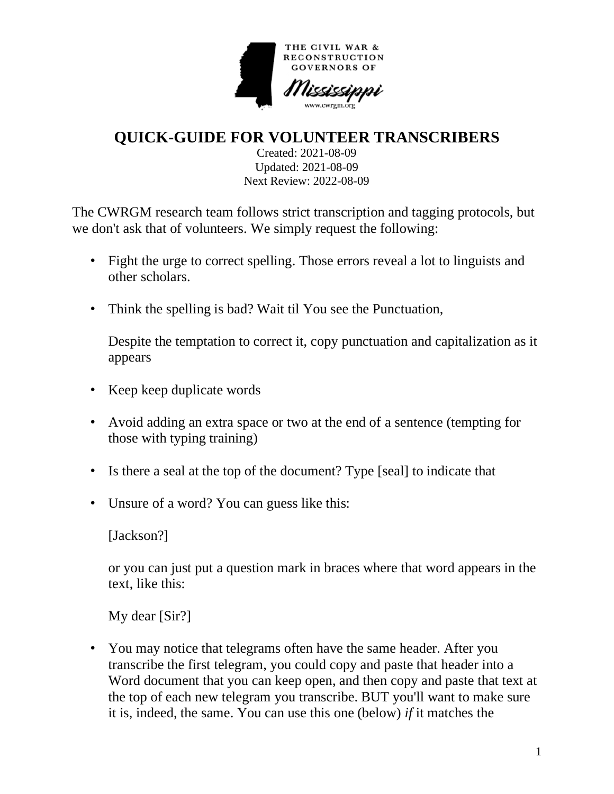

**QUICK-GUIDE FOR VOLUNTEER TRANSCRIBERS**

Created: 2021-08-09 Updated: 2021-08-09 Next Review: 2022-08-09

The CWRGM research team follows strict transcription and tagging protocols, but we don't ask that of volunteers. We simply request the following:

- Fight the urge to correct spelling. Those errors reveal a lot to linguists and other scholars.
- Think the spelling is bad? Wait til You see the Punctuation,

Despite the temptation to correct it, copy punctuation and capitalization as it appears

- Keep keep duplicate words
- Avoid adding an extra space or two at the end of a sentence (tempting for those with typing training)
- Is there a seal at the top of the document? Type [seal] to indicate that
- Unsure of a word? You can guess like this:

[Jackson?]

or you can just put a question mark in braces where that word appears in the text, like this:

My dear [Sir?]

• You may notice that telegrams often have the same header. After you transcribe the first telegram, you could copy and paste that header into a Word document that you can keep open, and then copy and paste that text at the top of each new telegram you transcribe. BUT you'll want to make sure it is, indeed, the same. You can use this one (below) *if* it matches the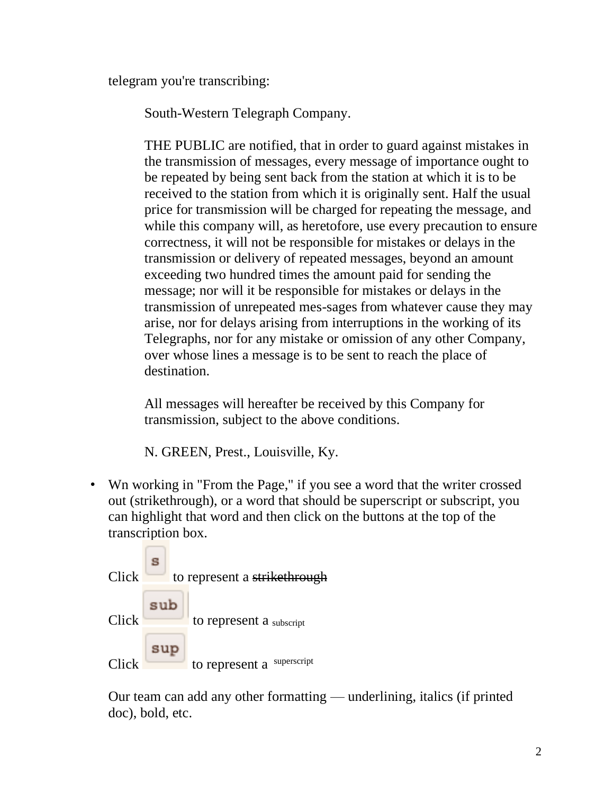telegram you're transcribing:

South-Western Telegraph Company.

THE PUBLIC are notified, that in order to guard against mistakes in the transmission of messages, every message of importance ought to be repeated by being sent back from the station at which it is to be received to the station from which it is originally sent. Half the usual price for transmission will be charged for repeating the message, and while this company will, as heretofore, use every precaution to ensure correctness, it will not be responsible for mistakes or delays in the transmission or delivery of repeated messages, beyond an amount exceeding two hundred times the amount paid for sending the message; nor will it be responsible for mistakes or delays in the transmission of unrepeated mes-sages from whatever cause they may arise, nor for delays arising from interruptions in the working of its Telegraphs, nor for any mistake or omission of any other Company, over whose lines a message is to be sent to reach the place of destination.

All messages will hereafter be received by this Company for transmission, subject to the above conditions.

N. GREEN, Prest., Louisville, Ky.

• Wn working in "From the Page," if you see a word that the writer crossed out (strikethrough), or a word that should be superscript or subscript, you can highlight that word and then click on the buttons at the top of the transcription box.



Our team can add any other formatting — underlining, italics (if printed doc), bold, etc.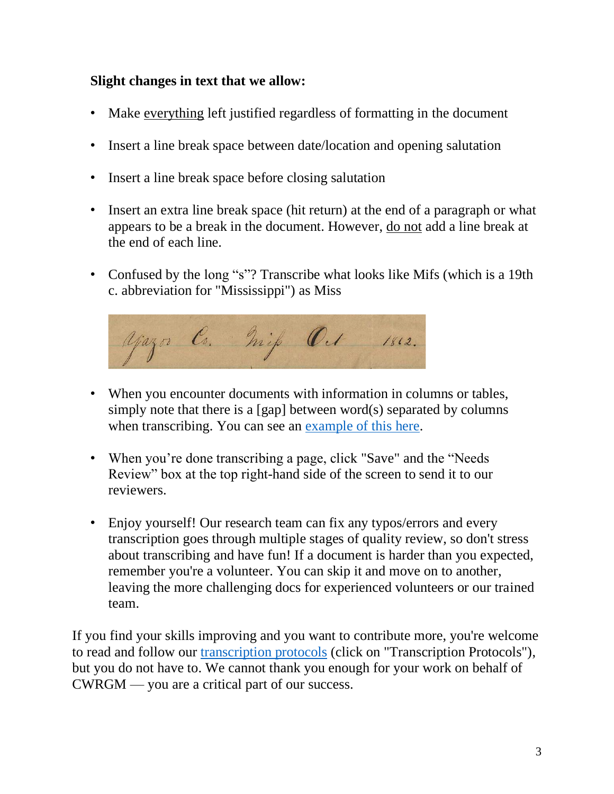## **Slight changes in text that we allow:**

- Make everything left justified regardless of formatting in the document
- Insert a line break space between date/location and opening salutation
- Insert a line break space before closing salutation
- Insert an extra line break space (hit return) at the end of a paragraph or what appears to be a break in the document. However, do not add a line break at the end of each line.
- Confused by the long "s"? Transcribe what looks like Mifs (which is a 19th c. abbreviation for "Mississippi") as Miss



- When you encounter documents with information in columns or tables, simply note that there is a  $[gap]$  between word $(s)$  separated by columns when transcribing. You can see an [example of this here.](https://cwrgm.org/item/mdah_757-930-09-04)
- When you're done transcribing a page, click "Save" and the "Needs" Review" box at the top right-hand side of the screen to send it to our reviewers.
- Enjoy yourself! Our research team can fix any typos/errors and every transcription goes through multiple stages of quality review, so don't stress about transcribing and have fun! If a document is harder than you expected, remember you're a volunteer. You can skip it and move on to another, leaving the more challenging docs for experienced volunteers or our trained team.

If you find your skills improving and you want to contribute more, you're welcome to read and follow our [transcription protocols](https://cwrgm.org/page/editorial-process) (click on "Transcription Protocols"), but you do not have to. We cannot thank you enough for your work on behalf of CWRGM — you are a critical part of our success.